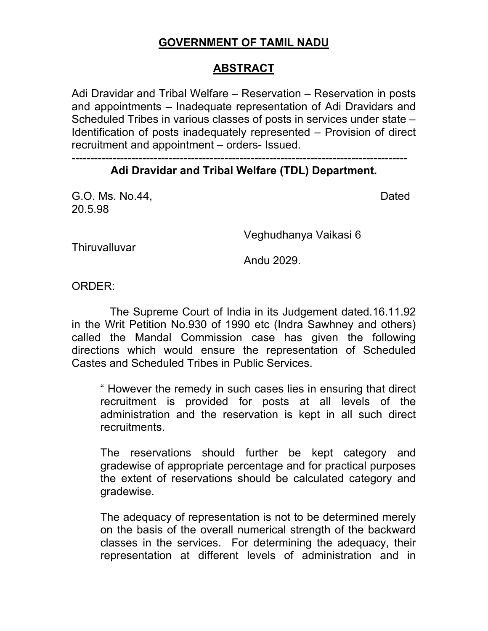## **GOVERNMENT OF TAMIL NADU**

## **ABSTRACT**

Adi Dravidar and Tribal Welfare – Reservation – Reservation in posts and appointments – Inadequate representation of Adi Dravidars and Scheduled Tribes in various classes of posts in services under state – Identification of posts inadequately represented – Provision of direct recruitment and appointment – orders- Issued.

## ------------------------------------------------------------------------------------------ **Adi Dravidar and Tribal Welfare (TDL) Department.**

G.O. Ms. No.44, Dated 20.5.98

Veghudhanya Vaikasi 6

**Thiruvalluvar** 

Andu 2029.

ORDER:

 The Supreme Court of India in its Judgement dated.16.11.92 in the Writ Petition No.930 of 1990 etc (Indra Sawhney and others) called the Mandal Commission case has given the following directions which would ensure the representation of Scheduled Castes and Scheduled Tribes in Public Services.

" However the remedy in such cases lies in ensuring that direct recruitment is provided for posts at all levels of the administration and the reservation is kept in all such direct recruitments.

The reservations should further be kept category and gradewise of appropriate percentage and for practical purposes the extent of reservations should be calculated category and gradewise.

The adequacy of representation is not to be determined merely on the basis of the overall numerical strength of the backward classes in the services. For determining the adequacy, their representation at different levels of administration and in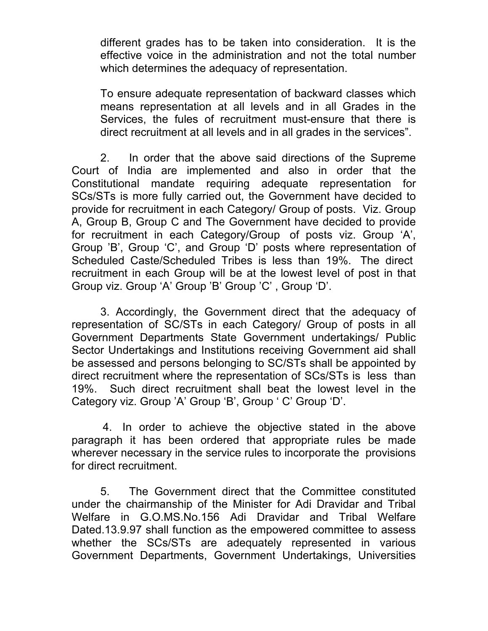different grades has to be taken into consideration. It is the effective voice in the administration and not the total number which determines the adequacy of representation.

To ensure adequate representation of backward classes which means representation at all levels and in all Grades in the Services, the fules of recruitment must-ensure that there is direct recruitment at all levels and in all grades in the services".

2. In order that the above said directions of the Supreme Court of India are implemented and also in order that the Constitutional mandate requiring adequate representation for SCs/STs is more fully carried out, the Government have decided to provide for recruitment in each Category/ Group of posts. Viz. Group A, Group B, Group C and The Government have decided to provide for recruitment in each Category/Group of posts viz. Group 'A', Group 'B', Group 'C', and Group 'D' posts where representation of Scheduled Caste/Scheduled Tribes is less than 19%. The direct recruitment in each Group will be at the lowest level of post in that Group viz. Group 'A' Group 'B' Group 'C' , Group 'D'.

3. Accordingly, the Government direct that the adequacy of representation of SC/STs in each Category/ Group of posts in all Government Departments State Government undertakings/ Public Sector Undertakings and Institutions receiving Government aid shall be assessed and persons belonging to SC/STs shall be appointed by direct recruitment where the representation of SCs/STs is less than 19%. Such direct recruitment shall beat the lowest level in the Category viz. Group 'A' Group 'B', Group 'C' Group 'D'.

 4. In order to achieve the objective stated in the above paragraph it has been ordered that appropriate rules be made wherever necessary in the service rules to incorporate the provisions for direct recruitment.

 5. The Government direct that the Committee constituted under the chairmanship of the Minister for Adi Dravidar and Tribal Welfare in G.O.MS.No.156 Adi Dravidar and Tribal Welfare Dated.13.9.97 shall function as the empowered committee to assess whether the SCs/STs are adequately represented in various Government Departments, Government Undertakings, Universities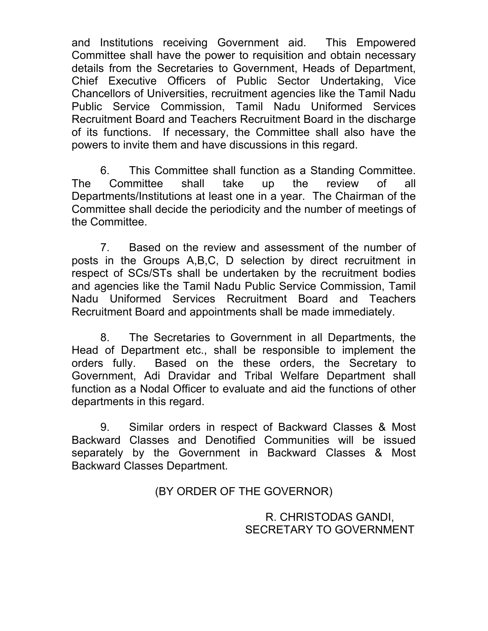and Institutions receiving Government aid. This Empowered Committee shall have the power to requisition and obtain necessary details from the Secretaries to Government, Heads of Department, Chief Executive Officers of Public Sector Undertaking, Vice Chancellors of Universities, recruitment agencies like the Tamil Nadu Public Service Commission, Tamil Nadu Uniformed Services Recruitment Board and Teachers Recruitment Board in the discharge of its functions. If necessary, the Committee shall also have the powers to invite them and have discussions in this regard.

 6. This Committee shall function as a Standing Committee. The Committee shall take up the review of all Departments/Institutions at least one in a year. The Chairman of the Committee shall decide the periodicity and the number of meetings of the Committee.

 7. Based on the review and assessment of the number of posts in the Groups A,B,C, D selection by direct recruitment in respect of SCs/STs shall be undertaken by the recruitment bodies and agencies like the Tamil Nadu Public Service Commission, Tamil Nadu Uniformed Services Recruitment Board and Teachers Recruitment Board and appointments shall be made immediately.

 8. The Secretaries to Government in all Departments, the Head of Department etc., shall be responsible to implement the orders fully. Based on the these orders, the Secretary to Government, Adi Dravidar and Tribal Welfare Department shall function as a Nodal Officer to evaluate and aid the functions of other departments in this regard.

 9. Similar orders in respect of Backward Classes & Most Backward Classes and Denotified Communities will be issued separately by the Government in Backward Classes & Most Backward Classes Department.

(BY ORDER OF THE GOVERNOR)

R. CHRISTODAS GANDI, SECRETARY TO GOVERNMENT